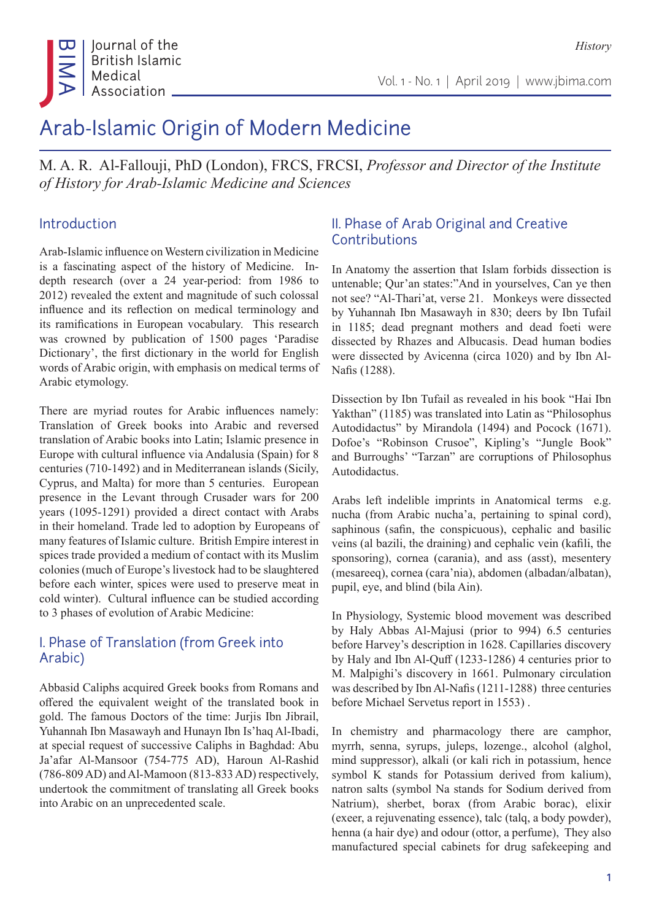

# Arab-Islamic Origin of Modern Medicine

M. A. R. Al-Fallouji, PhD (London), FRCS, FRCSI, *Professor and Director of the Institute of History for Arab-Islamic Medicine and Sciences*

### Introduction

Arab-Islamic influence on Western civilization in Medicine is a fascinating aspect of the history of Medicine. Indepth research (over a 24 year-period: from 1986 to 2012) revealed the extent and magnitude of such colossal influence and its reflection on medical terminology and its ramifications in European vocabulary. This research was crowned by publication of 1500 pages 'Paradise Dictionary', the first dictionary in the world for English words of Arabic origin, with emphasis on medical terms of Arabic etymology.

There are myriad routes for Arabic influences namely: Translation of Greek books into Arabic and reversed translation of Arabic books into Latin; Islamic presence in Europe with cultural influence via Andalusia (Spain) for 8 centuries (710-1492) and in Mediterranean islands (Sicily, Cyprus, and Malta) for more than 5 centuries. European presence in the Levant through Crusader wars for 200 years (1095-1291) provided a direct contact with Arabs in their homeland. Trade led to adoption by Europeans of many features of Islamic culture. British Empire interest in spices trade provided a medium of contact with its Muslim colonies (much of Europe's livestock had to be slaughtered before each winter, spices were used to preserve meat in cold winter). Cultural influence can be studied according to 3 phases of evolution of Arabic Medicine:

# I. Phase of Translation (from Greek into Arabic)

Abbasid Caliphs acquired Greek books from Romans and offered the equivalent weight of the translated book in gold. The famous Doctors of the time: Jurjis Ibn Jibrail, Yuhannah Ibn Masawayh and Hunayn Ibn Is'haq Al-Ibadi, at special request of successive Caliphs in Baghdad: Abu Ja'afar Al-Mansoor (754-775 AD), Haroun Al-Rashid (786-809 AD) and Al-Mamoon (813-833 AD) respectively, undertook the commitment of translating all Greek books into Arabic on an unprecedented scale.

# II. Phase of Arab Original and Creative Contributions

In Anatomy the assertion that Islam forbids dissection is untenable; Qur'an states:"And in yourselves, Can ye then not see? "Al-Thari'at, verse 21. Monkeys were dissected by Yuhannah Ibn Masawayh in 830; deers by Ibn Tufail in 1185; dead pregnant mothers and dead foeti were dissected by Rhazes and Albucasis. Dead human bodies were dissected by Avicenna (circa 1020) and by Ibn Al-Nafis (1288).

Dissection by Ibn Tufail as revealed in his book "Hai Ibn Yakthan" (1185) was translated into Latin as "Philosophus Autodidactus" by Mirandola (1494) and Pocock (1671). Dofoe's "Robinson Crusoe", Kipling's "Jungle Book" and Burroughs' "Tarzan" are corruptions of Philosophus Autodidactus.

Arabs left indelible imprints in Anatomical terms e.g. nucha (from Arabic nucha'a, pertaining to spinal cord), saphinous (safin, the conspicuous), cephalic and basilic veins (al bazili, the draining) and cephalic vein (kafili, the sponsoring), cornea (carania), and ass (asst), mesentery (mesareeq), cornea (cara'nia), abdomen (albadan/albatan), pupil, eye, and blind (bila Ain).

In Physiology, Systemic blood movement was described by Haly Abbas Al-Majusi (prior to 994) 6.5 centuries before Harvey's description in 1628. Capillaries discovery by Haly and Ibn Al-Quff (1233-1286) 4 centuries prior to M. Malpighi's discovery in 1661. Pulmonary circulation was described by Ibn Al-Nafis (1211-1288) three centuries before Michael Servetus report in 1553) .

In chemistry and pharmacology there are camphor, myrrh, senna, syrups, juleps, lozenge., alcohol (alghol, mind suppressor), alkali (or kali rich in potassium, hence symbol K stands for Potassium derived from kalium), natron salts (symbol Na stands for Sodium derived from Natrium), sherbet, borax (from Arabic borac), elixir (exeer, a rejuvenating essence), talc (talq, a body powder), henna (a hair dye) and odour (ottor, a perfume), They also manufactured special cabinets for drug safekeeping and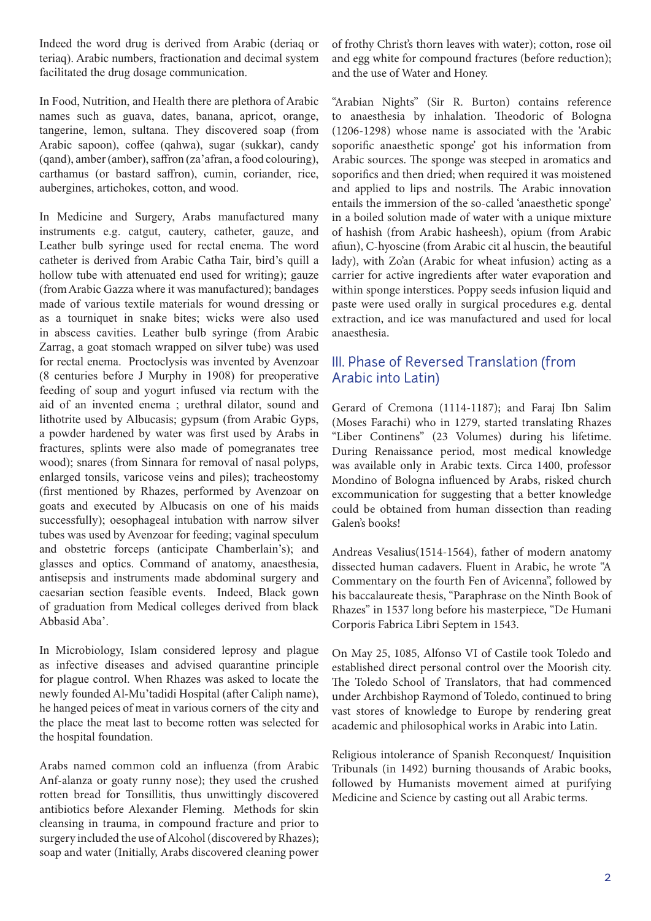Indeed the word drug is derived from Arabic (deriaq or teriaq). Arabic numbers, fractionation and decimal system facilitated the drug dosage communication.

In Food, Nutrition, and Health there are plethora of Arabic names such as guava, dates, banana, apricot, orange, tangerine, lemon, sultana. They discovered soap (from Arabic sapoon), coffee (qahwa), sugar (sukkar), candy (qand), amber (amber), saffron (za'afran, a food colouring), carthamus (or bastard saffron), cumin, coriander, rice, aubergines, artichokes, cotton, and wood.

In Medicine and Surgery, Arabs manufactured many instruments e.g. catgut, cautery, catheter, gauze, and Leather bulb syringe used for rectal enema. The word catheter is derived from Arabic Catha Tair, bird's quill a hollow tube with attenuated end used for writing); gauze (from Arabic Gazza where it was manufactured); bandages made of various textile materials for wound dressing or as a tourniquet in snake bites; wicks were also used in abscess cavities. Leather bulb syringe (from Arabic Zarrag, a goat stomach wrapped on silver tube) was used for rectal enema. Proctoclysis was invented by Avenzoar (8 centuries before J Murphy in 1908) for preoperative feeding of soup and yogurt infused via rectum with the aid of an invented enema ; urethral dilator, sound and lithotrite used by Albucasis; gypsum (from Arabic Gyps, a powder hardened by water was first used by Arabs in fractures, splints were also made of pomegranates tree wood); snares (from Sinnara for removal of nasal polyps, enlarged tonsils, varicose veins and piles); tracheostomy (first mentioned by Rhazes, performed by Avenzoar on goats and executed by Albucasis on one of his maids successfully); oesophageal intubation with narrow silver tubes was used by Avenzoar for feeding; vaginal speculum and obstetric forceps (anticipate Chamberlain's); and glasses and optics. Command of anatomy, anaesthesia, antisepsis and instruments made abdominal surgery and caesarian section feasible events. Indeed, Black gown of graduation from Medical colleges derived from black Abbasid Aba'.

In Microbiology, Islam considered leprosy and plague as infective diseases and advised quarantine principle for plague control. When Rhazes was asked to locate the newly founded Al-Mu'tadidi Hospital (after Caliph name), he hanged peices of meat in various corners of the city and the place the meat last to become rotten was selected for the hospital foundation.

Arabs named common cold an influenza (from Arabic Anf-alanza or goaty runny nose); they used the crushed rotten bread for Tonsillitis, thus unwittingly discovered antibiotics before Alexander Fleming. Methods for skin cleansing in trauma, in compound fracture and prior to surgery included the use of Alcohol (discovered by Rhazes); soap and water (Initially, Arabs discovered cleaning power of frothy Christ's thorn leaves with water); cotton, rose oil and egg white for compound fractures (before reduction); and the use of Water and Honey.

"Arabian Nights" (Sir R. Burton) contains reference to anaesthesia by inhalation. Theodoric of Bologna (1206-1298) whose name is associated with the 'Arabic soporific anaesthetic sponge' got his information from Arabic sources. The sponge was steeped in aromatics and soporifics and then dried; when required it was moistened and applied to lips and nostrils. The Arabic innovation entails the immersion of the so-called 'anaesthetic sponge' in a boiled solution made of water with a unique mixture of hashish (from Arabic hasheesh), opium (from Arabic afiun), C-hyoscine (from Arabic cit al huscin, the beautiful lady), with Zo'an (Arabic for wheat infusion) acting as a carrier for active ingredients after water evaporation and within sponge interstices. Poppy seeds infusion liquid and paste were used orally in surgical procedures e.g. dental extraction, and ice was manufactured and used for local anaesthesia.

#### III. Phase of Reversed Translation (from Arabic into Latin)

Gerard of Cremona (1114-1187); and Faraj Ibn Salim (Moses Farachi) who in 1279, started translating Rhazes "Liber Continens" (23 Volumes) during his lifetime. During Renaissance period, most medical knowledge was available only in Arabic texts. Circa 1400, professor Mondino of Bologna influenced by Arabs, risked church excommunication for suggesting that a better knowledge could be obtained from human dissection than reading Galen's books!

Andreas Vesalius(1514-1564), father of modern anatomy dissected human cadavers. Fluent in Arabic, he wrote "A Commentary on the fourth Fen of Avicenna", followed by his baccalaureate thesis, "Paraphrase on the Ninth Book of Rhazes" in 1537 long before his masterpiece, "De Humani Corporis Fabrica Libri Septem in 1543.

On May 25, 1085, Alfonso VI of Castile took Toledo and established direct personal control over the Moorish city. The Toledo School of Translators, that had commenced under Archbishop Raymond of Toledo, continued to bring vast stores of knowledge to Europe by rendering great academic and philosophical works in Arabic into Latin.

Religious intolerance of Spanish Reconquest/ Inquisition Tribunals (in 1492) burning thousands of Arabic books, followed by Humanists movement aimed at purifying Medicine and Science by casting out all Arabic terms.